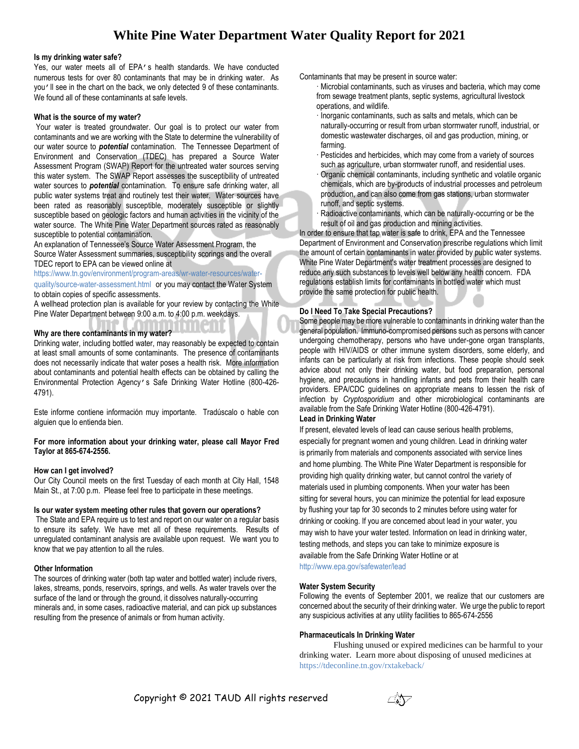# **White Pine Water Department Water Quality Report for 2021**

#### **Is my drinking water safe?**

Yes, our water meets all of EPA's health standards. We have conducted numerous tests for over 80 contaminants that may be in drinking water. As you'll see in the chart on the back, we only detected 9 of these contaminants. We found all of these contaminants at safe levels.

#### **What is the source of my water?**

Your water is treated groundwater. Our goal is to protect our water from contaminants and we are working with the State to determine the vulnerability of our water source to *potential* contamination. The Tennessee Department of Environment and Conservation (TDEC) has prepared a Source Water Assessment Program (SWAP) Report for the untreated water sources serving this water system. The SWAP Report assesses the susceptibility of untreated water sources to *potential* contamination. To ensure safe drinking water, all public water systems treat and routinely test their water. Water sources have been rated as reasonably susceptible, moderately susceptible or slightly susceptible based on geologic factors and human activities in the vicinity of the water source. The White Pine Water Department sources rated as reasonably susceptible to potential contamination.

An explanation of Tennessee's Source Water Assessment Program, the Source Water Assessment summaries, susceptibility scorings and the overall TDEC report to EPA can be viewed online at

https://www.tn.gov/environment/program-areas/wr-water-resources/water-

quality/source-water-assessment.html or you may contact the Water System to obtain copies of specific assessments.

A wellhead protection plan is available for your review by contacting the White Pine Water Department between 9:00 a.m. to 4:00 p.m. weekdays.

# **Why are there contaminants in my water?**

Drinking water, including bottled water, may reasonably be expected to contain at least small amounts of some contaminants. The presence of contaminants does not necessarily indicate that water poses a health risk. More information about contaminants and potential health effects can be obtained by calling the Environmental Protection Agency's Safe Drinking Water Hotline (800-426- 4791).

Este informe contiene información muy importante. Tradúscalo o hable con alguien que lo entienda bien.

**For more information about your drinking water, please call Mayor Fred Taylor at 865-674-2556.**

# **How can I get involved?**

Our City Council meets on the first Tuesday of each month at City Hall, 1548 Main St., at 7:00 p.m. Please feel free to participate in these meetings.

#### **Is our water system meeting other rules that govern our operations?**

The State and EPA require us to test and report on our water on a regular basis to ensure its safety. We have met all of these requirements. Results of unregulated contaminant analysis are available upon request. We want you to know that we pay attention to all the rules.

# **Other Information**

The sources of drinking water (both tap water and bottled water) include rivers, lakes, streams, ponds, reservoirs, springs, and wells. As water travels over the surface of the land or through the ground, it dissolves naturally-occurring minerals and, in some cases, radioactive material, and can pick up substances resulting from the presence of animals or from human activity.

Contaminants that may be present in source water:

- · Microbial contaminants, such as viruses and bacteria, which may come from sewage treatment plants, septic systems, agricultural livestock operations, and wildlife.
- · Inorganic contaminants, such as salts and metals, which can be naturally-occurring or result from urban stormwater runoff, industrial, or domestic wastewater discharges, oil and gas production, mining, or farming.
- · Pesticides and herbicides, which may come from a variety of sources such as agriculture, urban stormwater runoff, and residential uses.
- · Organic chemical contaminants, including synthetic and volatile organic chemicals, which are by-products of industrial processes and petroleum production, and can also come from gas stations, urban stormwater runoff, and septic systems.
- Radioactive contaminants, which can be naturally-occurring or be the result of oil and gas production and mining activities.

In order to ensure that tap water is safe to drink, EPA and the Tennessee Department of Environment and Conservation prescribe regulations which limit the amount of certain contaminants in water provided by public water systems. White Pine Water Department's water treatment processes are designed to reduce any such substances to levels well below any health concern. FDA regulations establish limits for contaminants in bottled water which must provide the same protection for public health.

# **Do I Need To Take Special Precautions?**

Some people may be more vulnerable to contaminants in drinking water than the general population. Immuno-compromised persons such as persons with cancer undergoing chemotherapy, persons who have under-gone organ transplants, people with HIV/AIDS or other immune system disorders, some elderly, and infants can be particularly at risk from infections. These people should seek advice about not only their drinking water, but food preparation, personal hygiene, and precautions in handling infants and pets from their health care providers. EPA/CDC guidelines on appropriate means to lessen the risk of infection by *Cryptosporidium* and other microbiological contaminants are available from the Safe Drinking Water Hotline (800-426-4791).

# **Lead in Drinking Water**

If present, elevated levels of lead can cause serious health problems, especially for pregnant women and young children. Lead in drinking water is primarily from materials and components associated with service lines and home plumbing. The White Pine Water Department is responsible for providing high quality drinking water, but cannot control the variety of materials used in plumbing components. When your water has been sitting for several hours, you can minimize the potential for lead exposure by flushing your tap for 30 seconds to 2 minutes before using water for drinking or cooking. If you are concerned about lead in your water, you may wish to have your water tested. Information on lead in drinking water, testing methods, and steps you can take to minimize exposure is available from the Safe Drinking Water Hotline or at

http://www.epa.gov/safewater/lead

# **Water System Security**

Following the events of September 2001, we realize that our customers are concerned about the security of their drinking water. We urge the public to report any suspicious activities at any utility facilities to 865-674-2556

# **Pharmaceuticals In Drinking Water**

Flushing unused or expired medicines can be harmful to your drinking water. Learn more about disposing of unused medicines at https://tdeconline.tn.gov/rxtakeback/